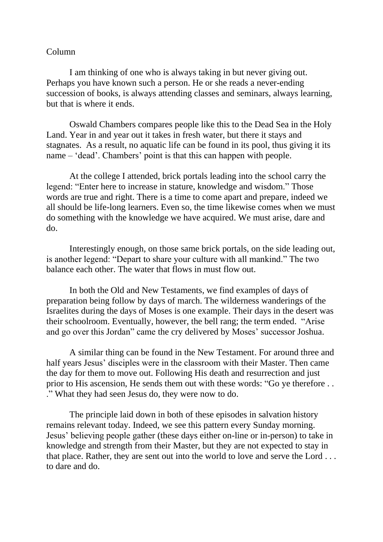## Column

I am thinking of one who is always taking in but never giving out. Perhaps you have known such a person. He or she reads a never-ending succession of books, is always attending classes and seminars, always learning, but that is where it ends.

Oswald Chambers compares people like this to the Dead Sea in the Holy Land. Year in and year out it takes in fresh water, but there it stays and stagnates. As a result, no aquatic life can be found in its pool, thus giving it its name – 'dead'. Chambers' point is that this can happen with people.

At the college I attended, brick portals leading into the school carry the legend: "Enter here to increase in stature, knowledge and wisdom." Those words are true and right. There is a time to come apart and prepare, indeed we all should be life-long learners. Even so, the time likewise comes when we must do something with the knowledge we have acquired. We must arise, dare and do.

Interestingly enough, on those same brick portals, on the side leading out, is another legend: "Depart to share your culture with all mankind." The two balance each other. The water that flows in must flow out.

In both the Old and New Testaments, we find examples of days of preparation being follow by days of march. The wilderness wanderings of the Israelites during the days of Moses is one example. Their days in the desert was their schoolroom. Eventually, however, the bell rang; the term ended. "Arise and go over this Jordan" came the cry delivered by Moses' successor Joshua.

A similar thing can be found in the New Testament. For around three and half years Jesus' disciples were in the classroom with their Master. Then came the day for them to move out. Following His death and resurrection and just prior to His ascension, He sends them out with these words: "Go ye therefore . . ." What they had seen Jesus do, they were now to do.

The principle laid down in both of these episodes in salvation history remains relevant today. Indeed, we see this pattern every Sunday morning. Jesus' believing people gather (these days either on-line or in-person) to take in knowledge and strength from their Master, but they are not expected to stay in that place. Rather, they are sent out into the world to love and serve the Lord . . . to dare and do.